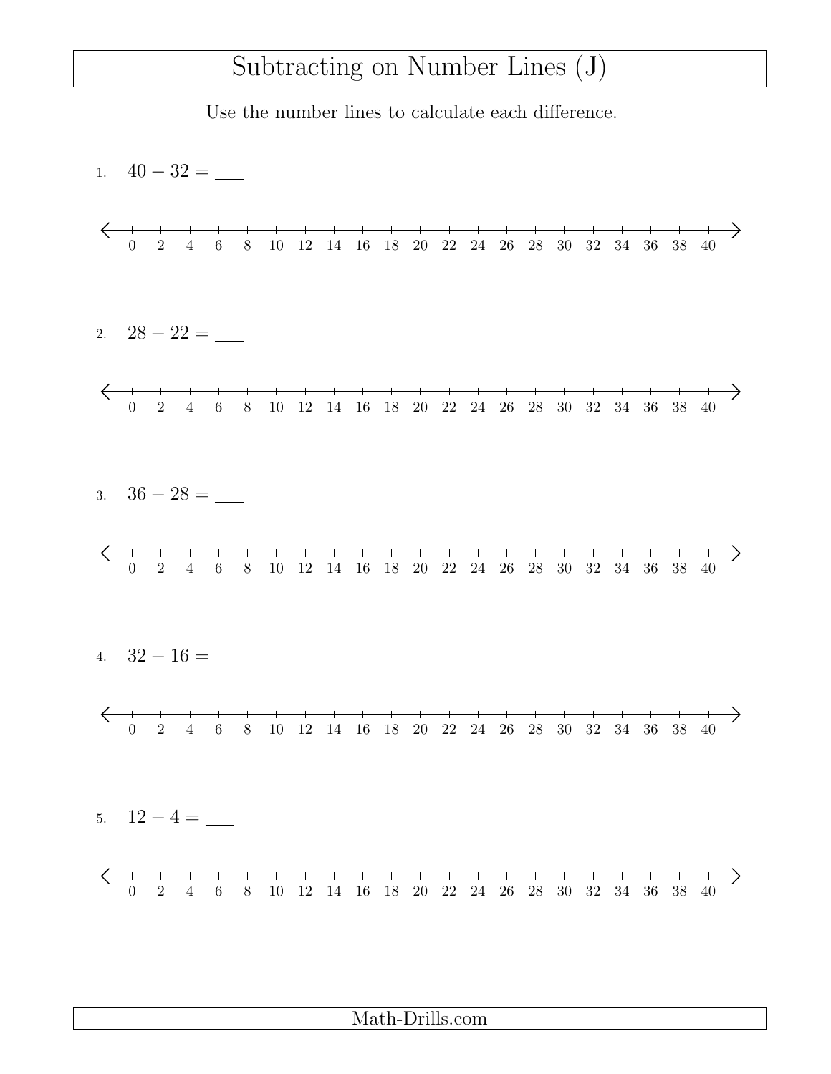## Subtracting on Number Lines (J)